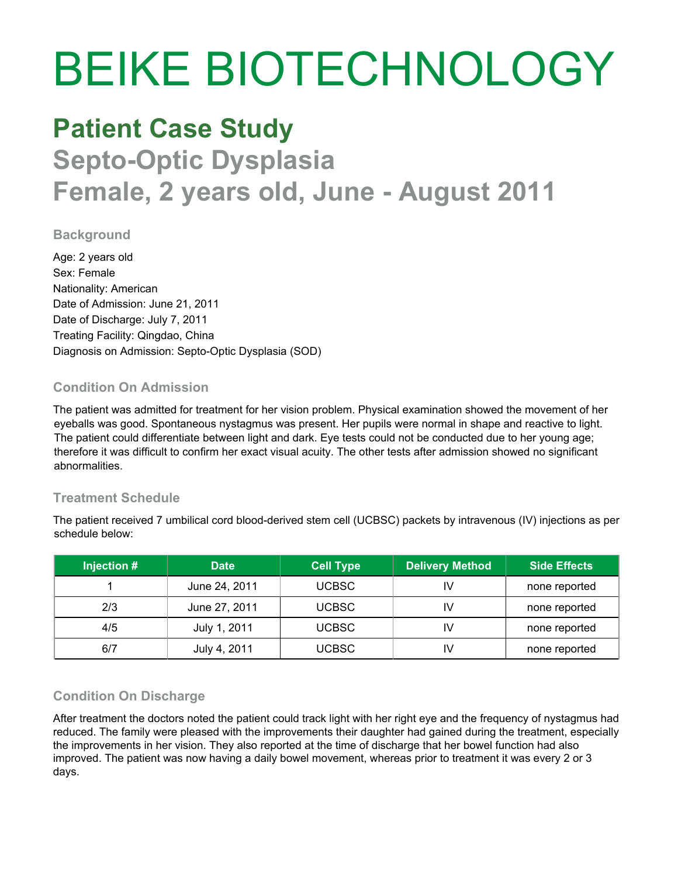# BEIKE BIOTECHNOLOGY

## **Patient Case Study Septo-Optic Dysplasia Female, 2 years old, June - August 2011**

#### **Background**

Age: 2 years old Sex: Female Nationality: American Date of Admission: June 21, 2011 Date of Discharge: July 7, 2011 Treating Facility: Qingdao, China Diagnosis on Admission: Septo-Optic Dysplasia (SOD)

#### **Condition On Admission**

The patient was admitted for treatment for her vision problem. Physical examination showed the movement of her eyeballs was good. Spontaneous nystagmus was present. Her pupils were normal in shape and reactive to light. The patient could differentiate between light and dark. Eye tests could not be conducted due to her young age; therefore it was difficult to confirm her exact visual acuity. The other tests after admission showed no significant abnormalities.

#### **Treatment Schedule**

The patient received 7 umbilical cord blood-derived stem cell (UCBSC) packets by intravenous (IV) injections as per schedule below:

| Injection # | <b>Date</b>   | <b>Cell Type</b> | <b>Delivery Method</b> | <b>Side Effects</b> |
|-------------|---------------|------------------|------------------------|---------------------|
|             | June 24, 2011 | <b>UCBSC</b>     | IV                     | none reported       |
| 2/3         | June 27, 2011 | <b>UCBSC</b>     | IV                     | none reported       |
| 4/5         | July 1, 2011  | <b>UCBSC</b>     | ΙV                     | none reported       |
| 6/7         | July 4, 2011  | <b>UCBSC</b>     | IV                     | none reported       |

#### **Condition On Discharge**

After treatment the doctors noted the patient could track light with her right eye and the frequency of nystagmus had reduced. The family were pleased with the improvements their daughter had gained during the treatment, especially the improvements in her vision. They also reported at the time of discharge that her bowel function had also improved. The patient was now having a daily bowel movement, whereas prior to treatment it was every 2 or 3 days.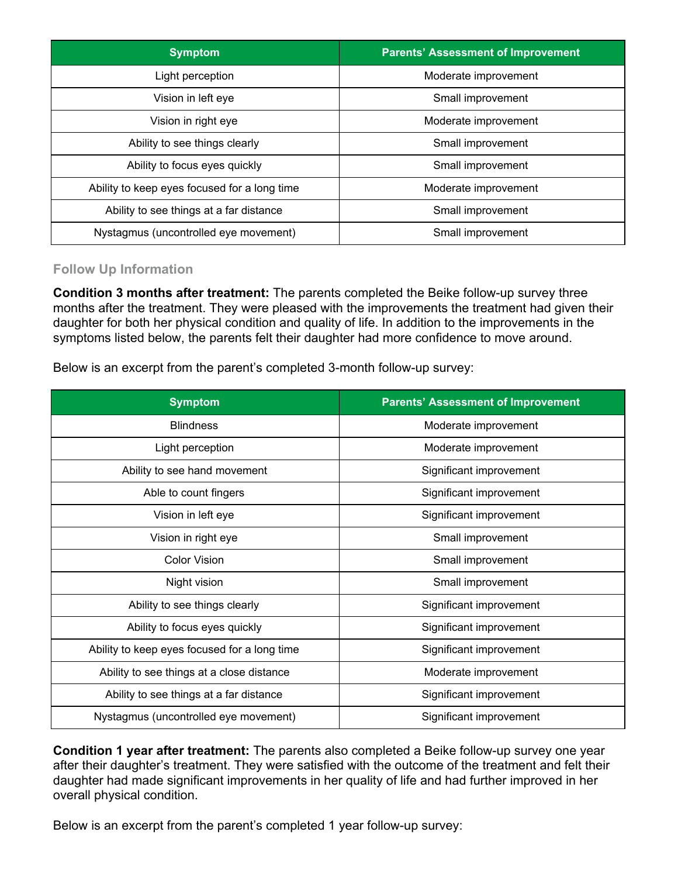| <b>Symptom</b>                               | <b>Parents' Assessment of Improvement</b> |  |
|----------------------------------------------|-------------------------------------------|--|
| Light perception                             | Moderate improvement                      |  |
| Vision in left eye                           | Small improvement                         |  |
| Vision in right eye                          | Moderate improvement                      |  |
| Ability to see things clearly                | Small improvement                         |  |
| Ability to focus eyes quickly                | Small improvement                         |  |
| Ability to keep eyes focused for a long time | Moderate improvement                      |  |
| Ability to see things at a far distance      | Small improvement                         |  |
| Nystagmus (uncontrolled eye movement)        | Small improvement                         |  |

#### **Follow Up Information**

**Condition 3 months after treatment:** The parents completed the Beike follow-up survey three months after the treatment. They were pleased with the improvements the treatment had given their daughter for both her physical condition and quality of life. In addition to the improvements in the symptoms listed below, the parents felt their daughter had more confidence to move around.

Below is an excerpt from the parent's completed 3-month follow-up survey:

| <b>Symptom</b>                               | <b>Parents' Assessment of Improvement</b> |  |
|----------------------------------------------|-------------------------------------------|--|
| <b>Blindness</b>                             | Moderate improvement                      |  |
| Light perception                             | Moderate improvement                      |  |
| Ability to see hand movement                 | Significant improvement                   |  |
| Able to count fingers                        | Significant improvement                   |  |
| Vision in left eye                           | Significant improvement                   |  |
| Vision in right eye                          | Small improvement                         |  |
| <b>Color Vision</b>                          | Small improvement                         |  |
| Night vision                                 | Small improvement                         |  |
| Ability to see things clearly                | Significant improvement                   |  |
| Ability to focus eyes quickly                | Significant improvement                   |  |
| Ability to keep eyes focused for a long time | Significant improvement                   |  |
| Ability to see things at a close distance    | Moderate improvement                      |  |
| Ability to see things at a far distance      | Significant improvement                   |  |
| Nystagmus (uncontrolled eye movement)        | Significant improvement                   |  |

**Condition 1 year after treatment:** The parents also completed a Beike follow-up survey one year after their daughter's treatment. They were satisfied with the outcome of the treatment and felt their daughter had made significant improvements in her quality of life and had further improved in her overall physical condition.

Below is an excerpt from the parent's completed 1 year follow-up survey: